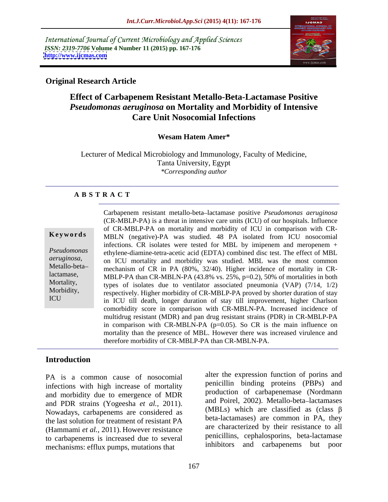International Journal of Current Microbiology and Applied Sciences *ISSN: 2319-7706* **Volume 4 Number 11 (2015) pp. 167-176 <http://www.ijcmas.com>**



### **Original Research Article**

# **Effect of Carbapenem Resistant Metallo-Beta-Lactamase Positive**  *Pseudomonas aeruginosa* **on Mortality and Morbidity of Intensive Care Unit Nosocomial Infections**

### **Wesam Hatem Amer\***

Lecturer of Medical Microbiology and Immunology, Faculty of Medicine, Tanta University, Egypt *\*Corresponding author*

### **A B S T R A C T**

ICU

Carbapenem resistant metallo-beta lactamase positive *Pseudomonas aeruginosa* (CR-MBLP-PA) is a threat in intensive care units (ICU) of our hospitals. Influence of CR-MBLP-PA on mortality and morbidity of ICU in comparison with CR- **Keywords** MBLN (negative)-PA was studied. 48 PA isolated from ICU nosocomial infections. CR isolates were tested for MBL by imipenem and meropenem + ethylene-diamine-tetra-acetic acid (EDTA) combined disc test. The effect of MBL *Pseudomonas*  aeruginosa, and ICU mortality and morbidity was studied. MBL was the most common mechanism of CR in PA (80% 32/40) Higher incidence of mortality in CRmechanism of CR in PA (80%, 32/40). Higher incidence of mortality in CR lactamase, MBLP-PA than CR-MBLN-PA (43.8% vs. 25%, p=0.2), 50% of mortalities in both Mortality, types of isolates due to ventilator associated pneumonia (VAP) (7/14, 1/2) Morbidity, respectively. Higher morbidity of CR-MBLP-PA proved by shorter duration of stay in ICU till death, longer duration of stay till improvement, higher Charlson comorbidity score in comparison with CR-MBLN-PA. Increased incidence of multidrug resistant (MDR) and pan drug resistant strains (PDR) in CR-MBLP-PA in comparison with CR-MBLN-PA  $(p=0.05)$ . So CR is the main influence on mortality than the presence of MBL. However there was increased virulence and therefore morbidity of CR-MBLP-PA than CR-MBLN-PA.

## **Introduction**

PA is a common cause of nosocomial infections with high increase of mortality and morbidity due to emergence of MDR and PDR strains (Yogeesha *et al.,* 2011). Nowadays, carbapenems are considered as the last solution for treatment of resistant PA (Hammami *et al.,* 2011). However resistance to carbapenems is increased due to several mechanisms: efflux pumps, mutations that

alter the expression function of porins and penicillin binding proteins (PBPs) and production of carbapenemase (Nordmann and Poirel, 2002). Metallo-beta-lactamases (MBLs) which are classified as (class  $\beta$ beta-lactamases) are common in PA, they are characterized by their resistance to all penicillins, cephalosporins, beta-lactamase inhibitors and carbapenems but poor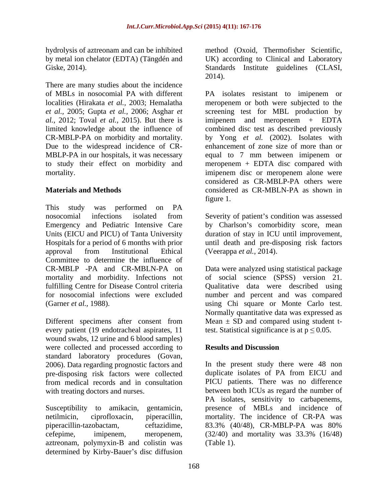There are many studies about the incidence Due to the widespread incidence of CR- MBLP-PA in our hospitals, it was necessary equal to 7 mm between imipenem or

This study was performed on PA nosocomial infections isolated from Severity of patient's condition was assessed Emergency and Pediatric Intensive Care by Charlson's comorbidity score, mean Units (EICU and PICU) of Tanta University duration of stay in ICU until improvement, Hospitals for a period of 6 months with prior approval from Institutional Ethical (Veerappa *et al.*, 2014). Committee to determine the influence of CR-MBLP -PA and CR-MBLN-PA on Data were analyzed using statistical package mortality and morbidity. Infections not fulfilling Centre for Disease Control criteria Qualitative data were described using for nosocomial infections were excluded humber and percent and was compared (Garner *et al.,* 1988). using Chi square or Monte Carlo test.

Different specimens after consent from every patient (19 endotracheal aspirates, 11 wound swabs, 12 urine and 6 blood samples) were collected and processed according to **Results and Discussion** standard laboratory procedures (Govan, 2006). Data regarding prognostic factors and pre-disposing risk factors were collected from medical records and in consultation

aztreonam, polymyxin-B and colistin was determined by Kirby-Bauer's disc diffusion

hydrolysis of aztreonam and can be inhibited method (Oxoid, Thermofisher Scientific, by metal ion chelator (EDTA) (Tängdén and UK) according to Clinical and Laboratory Giske, 2014). Standards Institute guidelines (CLASI, 2014).

of MBLs in nosocomialPA with different PA isolates resistant to imipenem or localities (Hirakata *et al.,* 2003; Hemalatha meropenem or both were subjected to the *et al.,* 2005; Gupta *et al.,* 2006; Asghar *et*  screening test for MBL production by *al.,* 2012; Toval *et al.,* 2015). But there is imipenem and meropenem + EDTA limited knowledge about the influence of combined disc test as described previously CR-MBLP-PA on morbidity and mortality. by Yong *et al.* (2002). Isolates with to study their effect on morbidity and meropenem + EDTA disc compared with mortality. imipenem disc or meropenem alone were **Materials and Methods Example 2018 CONSIDER 2018 CONSIDER 2019 CONSIDER 2019 CONSIDER 2019 CONSIDER 2019 CONSIDER 2019 CONSIDER 2019 CONSIDER 2019 CONSIDER 2019 CONSIDER 2019 CONSIDER 2019 CONSID** enhancement of zone size of more than or equal to 7 mm between imipenem or considered as CR-MBLP-PA others were considered as CR-MBLN-PA as shown in figure 1.

> until death and pre-disposing risk factors (Veerappa *et al.,* 2014).

> of social science (SPSS) version 21. Normally quantitative data was expressed as Mean  $\pm$  SD and compared using student ttest. Statistical significance is at  $p \le 0.05$ .

## **Results and Discussion**

with treating doctors and nurses. between both ICUs as regard the number of Susceptibility to amikacin, gentamicin, presence of MBLs and incidence of netilmicin, ciprofloxacin, piperacillin, mortality. The incidence of CR-PA was piperacillin-tazobactam, ceftazidime, 83.3% (40/48), CR-MBLP-PA was 80% cefepime, imipenem, meropenem, (32/40) and mortality was 33.3% (16/48) In the present study there were 48 non duplicate isolates of PA from EICU and PICU patients. There was no difference PA isolates, sensitivity to carbapenems, (Table 1).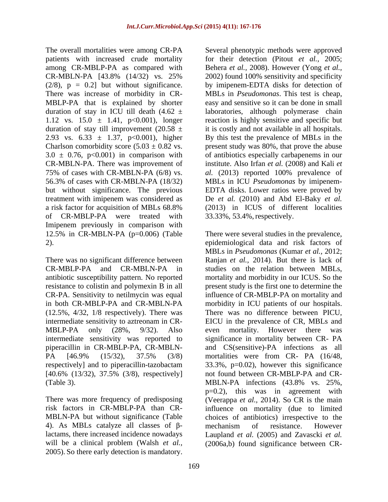$(2/8)$ ,  $p = 0.2$ ] but without significance. There was increase of morbidity in CR of CR-MBLP-PA were treated with 33.33%, 53.4%, respectively. Imipenem previously in comparison with

There was no significant difference between resistance to colistin and polymexin B in all (12.5%, 4/32, 1/8 respectively). There was intermediate sensitivity to aztreonam in CR- [40.6% (13/32), 37.5% (3/8), respectively]

4). As MBLs catalyze all classes of  $\beta$ - mechanism of resistance. However will be a clinical problem (Walsh *et al.,* (2006a,b) found significance between CR-2005). So there early detection is mandatory.

The overall mortalities were among CR-PA Several phenotypic methods were approved patients with increased crude mortality for their detection (Pitout *et al.,* 2005; among CR-MBLP-PA as compared with Behera *et al.,* 2008). However (Yong *et al.,*  $CR-MBLN-PA$  [43.8% (14/32) vs. 25% 2002) found 100% sensitivity and specificity MBLP-PA that is explained by shorter easy and sensitive so it can be done in small duration of stay in ICU till death (4.62 ± laboratories, although polymerase chain 1.12 vs.  $15.0 \pm 1.41$ ,  $p<0.001$ ), longer reaction is highly sensitive and specific but duration of stay till improvement  $(20.58 \pm \text{lit})$  it is costly and not available in all hospitals. 2.93 vs.  $6.33 \pm 1.37$ ,  $p<0.001$ ), higher By this test the prevalence of MBLs in the Charlson comorbidity score  $(5.03 \pm 0.82 \text{ vs.}$  present study was 80%, that prove the abuse  $3.0 \pm 0.76$ , p<0.001) in comparison with of antibiotics especially carbapenems in our CR-MBLN-PA. There was improvement of institute. Also Irfan *etal.* (2008) and Kali *et*  75% of cases with CR-MBLN-PA (6/8) vs. *al.* (2013) reported 100% prevalence of 56.3% of cases with CR-MBLN-PA (18/32) MBLs in ICU *Pseudomonas* by imipenem but without significance. The previous EDTA disks. Lower ratios were proved by treatment with imipenem was considered as De *et al.* (2010) and Abd El-Baky *et al.* a risk factor for acquisition of MBLs 68.8% (2013) in ICUS of different localities 2002) found 100% sensitivity and specificity by imipenem-EDTA disks for detection of MBLs in *Pseudomonas*. This test is cheap, 33.33%, 53.4%,respectively.

12.5% in CR-MBLN-PA (p=0.006) (Table There were several studies in the prevalence, 2). epidemiological data and risk factors of CR-MBLP-PA and CR-MBLN-PA in studies on the relation between MBLs, antibiotic susceptibility pattern. No reported mortality and morbidity in our ICUS. So the CR-PA. Sensitivity to netilmycin was equal influence of CR-MBLP-PA on mortality and in both CR-MBLP-PA and CR-MBLN-PA morbidity in ICU patients of our hospitals. MBLP-PA only (28%, 9/32). Also even mortality. However there was intermediate sensitivity was reported to significance in mortality between CR- PA piperacillin in CR-MBLP-PA, CR-MBLN- and CS(sensitive)-PA infections as all PA [46.9% (15/32), 37.5% (3/8) mortalities were from CR- PA (16/48, respectively] and to piperacillin-tazobactam 33.3%, p=0.02), however this significance (Table 3). MBLN-PA infections (43.8% vs. 25%, There was more frequency of predisposing (Veerappa *et al.,* 2014). So CR is the main risk factors in CR-MBLP-PA than CR- influence on mortality (due to limited MBLN-PA but without significance (Table choices of antibiotics) irrespective to the lactams, there increased incidence nowadays Laupland *et al.* (2005) and Zavascki *et al.* MBLs in *Pseudomonas* (Kumar *et al.,* 2012; Ranjan *et al.,* 2014). But there is lack of present study is the first one to determine the There was no difference between PICU, EICU in the prevalence of CR, MBLs and mortalities were from CR- PA (16/48, not found between CR-MBLP-PA and CR p=0.2), this was in agreement with mechanism of resistance. However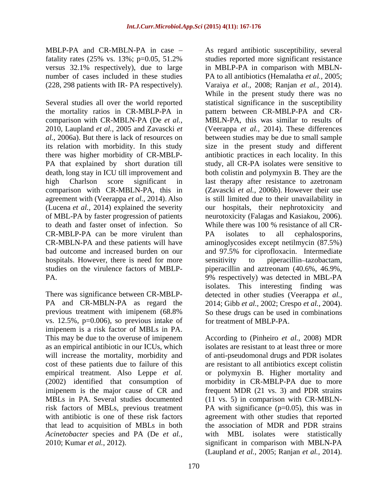MBLP-PA and CR-MBLN-PA in case – As regard antibiotic susceptibility, several versus 32.1% respectively), due to large

2010, Laupland *et al.,* 2005 and Zavascki *et*  PA that explained by short duration till to death and faster onset of infection. So While there was 100 % resistance of all CR-CR-MBLP-PA can be more virulent than PA isolates to all cephalosporins, hospitals. However, there is need for more sensitivity to piperacillin-tazobactam,

previous treatment with imipenem (68.8% vs. 12.5%, p=0.006), so previous intake of imipenem is a risk factor of MBLs in PA. This may be due to the overuse of imipenem According to (Pinheiro *et al.,* 2008) MDR as an empirical antibiotic in our ICUs, which will increase the mortality, morbidity and of anti-pseudomonal drugs and PDR isolates cost of these patients due to failure of this are resistant to all antibiotics except colistin empirical treatment. Also Leppe *et al.* (2002) identified that consumption of imipenem is the major cause of CR and frequent MDR (21 vs. 3) and PDR strains MBLs in PA. Several studies documented (11 vs. 5) in comparison with CR-MBLN risk factors of MBLs, previous treatment PA with significance (p=0.05), this was in with antibiotic is one of these risk factors agreement with other studies that reported that lead to acquisition of MBLs in both *Acinetobacter* species and PA (De *et al.,*

fatality rates (25% vs. 13%; p=0.05, 51.2% studies reported more significant resistance number of cases included in these studies PA to all antibiotics (Hemalatha *et al.,* 2005; (228, 298 patients with IR- PA respectively). Varaiya *et al.,* 2008; Ranjan *et al.,* 2014). Several studies all over the world reported statistical significance in the susceptibility the mortality ratios in CR-MBLP-PA in pattern between CR-MBLP-PA and CR comparison with CR-MBLN-PA (De *et al.,* MBLN-PA, this was similar to results of *al.,* 2006a). But there is lack of resources on between studies may be due to small sample its relation with morbidity. In this study size in the present study and different there was higher morbidity of CR-MBLP- antibiotic practices in each locality. In this death, long stay in ICU till improvement and both colistin and polymyxin B. They are the high Charlson score significant in last therapy after resistance to azetronam comparison with CR-MBLN-PA, this in (Zavascki *et al.,* 2006b). However their use agreement with (Veerappa *et al.,* 2014). Also is still limited due to their unavailability in (Lucena *et al.,* 2014) explained the severity our hospitals, their nephrotoxicity and of MBL-PA by faster progression of patients neurotoxicity (Falagas and Kasiakou, 2006). CR-MBLN-PA and these patients will have aminoglycosides except netilmycin (87.5%) bad outcome and increased burden on our and 97.5% for ciprofloxacin. Intermediate studies on the virulence factors of MBLP- piperacillin and aztreonam (40.6%, 46.9%, PA. 9% respectively) was detected in MBL-PA There was significance between CR-MBLP- detected in other studies (Veerappa *et al.,* PA and CR-MBLN-PA as regard the 2014; Gibb *et al.,* 2002; Crespo *et al.,* 2004). MELEVA and CR-MERIX-PA in exace is a strength and<br>holidic susceptibility, several 2.5% vs. 13% regard and the summation such MIRLS-<br>versus 22.1% errors of the large and the summation such MIRLS-<br>and the component and the in MBLP-PA in comparison with MBLN- While in the present study there was no (Veerappa *et al.,* 2014). These differences study, all CR-PA isolates were sensitive to While there was 100 % resistance of all CR- PA isolates to all cephalosporins, sensitivity to piperacillin-tazobactam, isolates. This interesting finding was So these drugs can be used in combinations for treatment of MBLP-PA.

isolates are resistant to at least three or more or polymyxin B. Higher mortality and morbidity in CR-MBLP-PA due to more the association of MDR and PDR strains with MBL isolates were statistically significant in comparison with MBLN-PA (Laupland *et al.,* 2005; Ranjan *et al.,* 2014).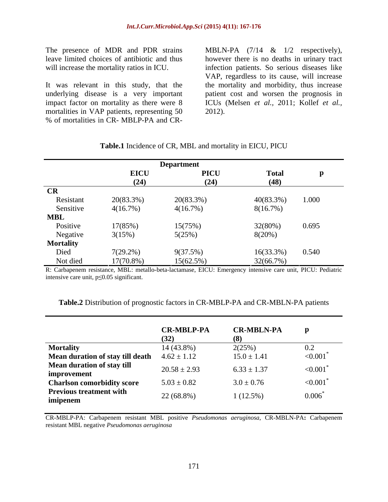The presence of MDR and PDR strains MBLN-PA  $(7/14 \& 1/2$  respectively), leave limited choices of antibiotic and thus however there is no deaths in urinary tract

It was relevant in this study, that the the mortality and morbidity, thus increase underlying disease is a very important patient cost and worsen the prognosis in impact factor on mortality as there were 8 ICUs (Melsen *et al.,* 2011; Kollef*et al.,* mortalities in VAP patients, representing 50<br>% of mortalities in CR- MBLP-PA and CR-

will increase the mortality ratios in ICU. The infection patients. So serious diseases like The presence of MDR and PDR strains MBLN-PA  $(7/14 \& 1/2$  respectively),<br>leave limited choices of antibiotic and thus however there is no deaths in urinary tract<br>will increase the mortality ratios in ICU. Infection patien VAP, regardless to its cause, will increase 2012).

|                  | <b>Department</b> |             |              |       |  |  |
|------------------|-------------------|-------------|--------------|-------|--|--|
|                  |                   | <b>PICU</b> | <b>Total</b> |       |  |  |
|                  | $EICU$<br>(24)    | (24)        | (48)         |       |  |  |
| CR               |                   |             |              |       |  |  |
| Resistant        | 20(83.3%)         | 20(83.3%)   | 40(83.3%)    | 1.000 |  |  |
| Sensitive        | 4(16.7%)          | 4(16.7%)    | 8(16.7%)     |       |  |  |
| <b>MBL</b>       |                   |             |              |       |  |  |
| Positive         | 17(85%)           | 15(75%)     | 32(80%)      | 0.695 |  |  |
| Negative         | 3(15%)            | 5(25%)      | $8(20\%)$    |       |  |  |
| <b>Mortality</b> |                   |             |              |       |  |  |
| Died             | $7(29.2\%)$       | 9(37.5%)    | 16(33.3%)    | 0.540 |  |  |
| Not died         | 17(70.8%)         | 15(62.5%)   | 32(66.7%)    |       |  |  |

### **Table.1** Incidence of CR, MBL and mortality in EICU, PICU

R: Carbapenem resistance, MBL: metallo-beta-lactamase, EICU: Emergency intensive care unit, PICU: Pediatric intensive care unit,  $p \le 0.05$  significant.

|                                                         | <b>CR-MBLP-PA</b> | <b>CR-MBLN-PA</b> |              |
|---------------------------------------------------------|-------------------|-------------------|--------------|
|                                                         | (32)              | (8)               |              |
| <b>Mortality</b>                                        | 14 (43.8%)        | $2(25\%)$         | $\Omega$     |
| <b>Mean duration of stay till death</b> $4.62 \pm 1.12$ |                   | $15.0 \pm 1.41$   | < 0.001      |
| Mean duration of stay till                              | $20.58 \pm 2.93$  | $6.33 \pm 1.37$   | < 0.001      |
| improvement                                             |                   |                   |              |
| <b>Charlson comorbidity score</b>                       | $5.03 \pm 0.82$   | $3.0 \pm 0.76$    | $\leq 0.001$ |
| <b>Previous treatment with</b>                          |                   |                   |              |
| imipenem                                                | 22 (68.8%)        | $1(12.5\%)$       | 0.006        |

| $\overline{\phantom{a}}$<br><b>Table.2</b> Distribution of prognostic<br>$\ln$ CR-MBLP-PA<br>MRI N PA<br>$\angle A$ and CR-N<br>tactors in CR<br>$\ddotsc$ | A patients |  |  |
|------------------------------------------------------------------------------------------------------------------------------------------------------------|------------|--|--|
|                                                                                                                                                            |            |  |  |

CR-MBLP-PA: Carbapenem resistant MBL positive *Pseudomonas aeruginosa*, CR-MBLN-PA**:** Carbapenem resistant MBL negative *Pseudomonas aeruginosa*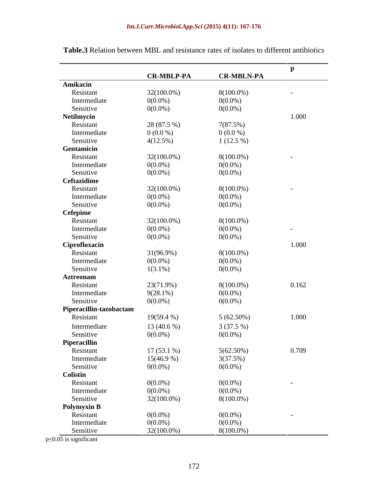|                         |                   |                   | $\mathbf{D}$   |
|-------------------------|-------------------|-------------------|----------------|
|                         | <b>CR-MBLP-PA</b> | <b>CR-MBLN-PA</b> |                |
| Amikacin                |                   |                   |                |
| Resistant               | $32(100.0\%)$     | $8(100.0\%)$      | $\sim$         |
| Intermediate            | $0(0.0\%)$        | $0(0.0\%)$        |                |
| Sensitive               | $0(0.0\%)$        | $0(0.0\%)$        |                |
| Netilmycin              |                   |                   | 1.000          |
| Resistant               | 28 (87.5 %)       | 7(87.5%)          |                |
| Intermediate            | $0(0.0\%)$        | $0(0.0\%)$        |                |
| Sensitive               | 4(12.5%)          | $1(12.5\%)$       |                |
| Gentamicin              |                   |                   |                |
| Resistant               | $32(100.0\%)$     | $8(100.0\%)$      | $\sim$         |
| Intermediate            | $0(0.0\%)$        | $0(0.0\%)$        |                |
| Sensitive               | $0(0.0\%)$        | $0(0.0\%)$        |                |
| Ceftazidime             |                   |                   |                |
| Resistant               | $32(100.0\%)$     | $8(100.0\%)$      | $\sim$         |
| Intermediate            | $0(0.0\%)$        | $0(0.0\%)$        |                |
| Sensitive               | $0(0.0\%)$        | $0(0.0\%)$        |                |
| Cefepime                |                   |                   |                |
| Resistant               | $32(100.0\%)$     | $8(100.0\%)$      |                |
| Intermediate            | $0(0.0\%)$        | $0(0.0\%)$        | $\sim$ $ \sim$ |
| Sensitive               | $0(0.0\%)$        | $0(0.0\%)$        |                |
| Ciprofloxacin           |                   |                   | 1.000          |
| Resistant               | 31(96.9%)         | $8(100.0\%)$      |                |
| Intermediate            | $0(0.0\%)$        | $0(0.0\%)$        |                |
| Sensitive               | $1(3.1\%)$        | $0(0.0\%)$        |                |
| <b>Aztreonam</b>        |                   |                   |                |
| Resistant               | 23(71.9%)         | $8(100.0\%)$      | 0.162          |
| Intermediate            |                   |                   |                |
| Sensitive               | $9(28.1\%)$       | $0(0.0\%)$        |                |
|                         | $0(0.0\%)$        | $0(0.0\%)$        |                |
| Piperacillin-tazobactam |                   |                   |                |
| Resistant               | 19(59.4 %)        | $5(62.50\%)$      | 1.000          |
| Intermediate            | 13 $(40.6\%)$     | 3(37.5%)          |                |
| Sensitive               | $0(0.0\%)$        | $0(0.0\%)$        |                |
| Piperacillin            |                   |                   |                |
| Resistant               | $17(53.1\%)$      | $5(62.50\%)$      | 0.709          |
| Intermediate            | $15(46.9\%)$      | 3(37.5%)          |                |
| Sensitive               | $0(0.0\%)$        | $0(0.0\%)$        |                |
| Colistin                |                   |                   |                |
| Resistant               | $0(0.0\%)$        | $0(0.0\%)$        | $\sim$ $ \sim$ |
| Intermediate            | $0(0.0\%)$        | $0(0.0\%)$        |                |
| Sensitive               | 32(100.0%)        | $8(100.0\%)$      |                |
| <b>Polymyxin B</b>      |                   |                   |                |
| Resistant               | $0(0.0\%)$        | $0(0.0\%)$        | $\sim$         |
| Intermediate            | $0(0.0\%)$        | $0(0.0\%)$        |                |
| Sensitive               | $32(100.0\%)$     | $8(100.0\%)$      |                |

**Table.3** Relation between MBL and resistance rates of isolates to different antibiotics

 $p \le 0.05$  is significant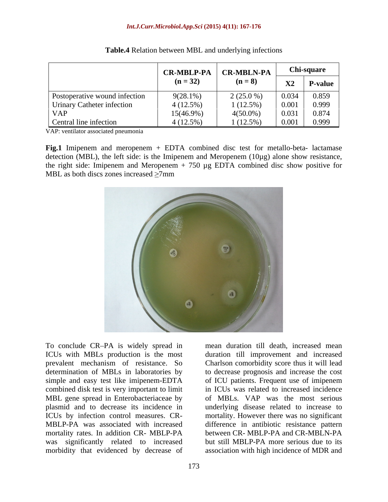|                                      | <b>CR-MBLP-PA</b> | <b>CR-MBLN-PA</b> | Chi-square          |                |
|--------------------------------------|-------------------|-------------------|---------------------|----------------|
|                                      | $(n = 32)$        | $(n=8)$           | $\mathbf{v}$<br>◢◣◢ | <b>P-value</b> |
| <b>Postoperative wound infection</b> | $9(28.1\%)$       | $2(25.0\%)$       | 0.034               | 0.859          |
| Urinary Catheter infection           | $4(12.5\%)$       | $1(12.5\%)$       | 0.001               | 0.999          |
| <b>VAP</b>                           | $15(46.9\%)$      | $4(50.0\%)$       | 0.031               | 0.874          |
| Central line infection               | $4(12.5\%)$       | $1(12.5\%)$       | 0.001               | 0.999          |

| Table.4<br>$\sim$ 1.10 4 Relation between MDL and $\sim$<br>n MBL and underlying infections |  |  |
|---------------------------------------------------------------------------------------------|--|--|
|                                                                                             |  |  |

VAP: ventilator associated pneumonia

**Fig.1** Imipenem and meropenem + EDTA combined disc test for metallo-beta- lactamase detection (MBL), the left side: is the Imipenem and Meropenem (10µg) alone show resistance, the right side: Imipenem and Meropenem  $+ 750 \mu$ g EDTA combined disc show positive for MBL as both discs zones increased  $\geq$ 7mm



To conclude CR PA is widely spread in mean duration till death, increased mean ICUs with MBLs production is the most duration till improvement and increased prevalent mechanism of resistance. So Charlson comorbidity score thus it will lead determination of MBLs in laboratories by to decrease prognosis and increase the cost simple and easy test like imipenem-EDTA of ICU patients. Frequent use of imipenem combined disk test is very important to limit MBL gene spread in Enterobacteriaceae by of MBLs. VAP was the most serious plasmid and to decrease its incidence in ICUs by infection control measures. CR- mortality. However there was no significant MBLP-PA was associated with increased mortality rates. In addition CR- MBLP-PA between CR- MBLP-PA and CR-MBLN-PA was significantly related to increased morbidity that evidenced by decrease of association with high incidence of MDR and

in ICUs was related to increased incidence underlying disease related to increase to difference in antibiotic resistance pattern but still MBLP-PA more serious due to its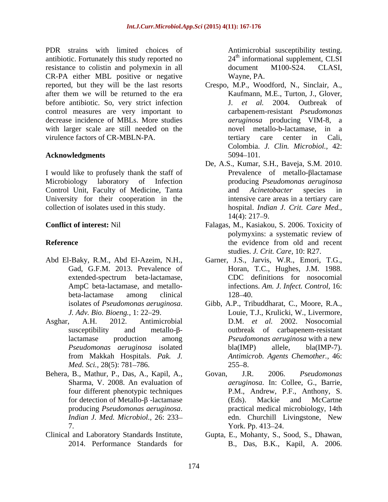PDR strains with limited choices of antibiotic. Fortunately this study reported no resistance to colistin and polymexin in all document M100-S24. CLASI, CR-PA either MBL positive or negative after them we will be returned to the era before antibiotic. So, very strict infection  $J$ . *et al.* 2004. Outbreak of control measures are very important to decrease incidence of MBLs. More studies with larger scale are still needed on the virulence factors of CR-MBLN-PA. tertiary care center in Cali,

I would like to profusely thank the staff of Control Unit, Faculty of Medicine, Tanta University for their cooperation in the collection of isolates used in this study.

- 
- *Med. Sci.,* 28(5): 781–786. 255–8.
- Behera, B., Mathur, P., Das, A., Kapil, A., Govan, J.R. 2006. Pseudomonas 7. York. Pp. 413–24.
- 

Antimicrobial susceptibility testing.  $24<sup>th</sup>$  informational supplement, CLSI document M100-S24. CLASI, Wayne, PA.

- reported, but they will be the last resorts Crespo, M.P., Woodford, N., Sinclair, A., Acknowledgments and the settlement of the settlement of the settlement of the settlement of the settlement of the settlement of the settlement of the settlement of the settlement of the settlement of the settlement of the Kaufmann, M.E., Turton, J., Glover, J. *et al.* 2004. Outbreak of carbapenem-resistant *Pseudomonas aeruginosa* producing VIM-8, a novel metallo-b-lactamase, in a tertiary care center in Cali, Colombia. *J. Clin. Microbiol.,* 42: 5094 101.
- Microbiology laboratory of Infection producing *Pseudomonas aeruginosa* De, A.S., Kumar, S.H., Baveja, S.M. 2010. Prevalence of metallo- $\beta$ lactamase and *Acinetobacter* species in intensive care areas in a tertiary care hospital. *Indian J. Crit. Care Med.,*  $14(4)$ : 217–9.
- **Conflict of interest:** Nil Falagas, M., Kasiakou, S. 2006. Toxicity of **Reference** polymyxins: a systematic review of the evidence from old and recent studies. *J. Crit. Care,* 10: R27.
- Abd El-Baky, R.M., Abd El-Azeim, N.H., Garner, J.S., Jarvis, W.R., Emori, T.G., Gad, G.F.M. 2013. Prevalence of Horan, T.C., Hughes, J.M. 1988. extended-spectrum beta-lactamase, AmpC beta-lactamase, and metallo- infections. *Am. J. Infect. Control,* 16: beta-lactamase among clinical CDC definitions for nosocomial 128–40.
- isolates of *Pseudomonas aeruginosa*. Gibb, A.P., Tribuddharat, C., Moore, R.A., *J. Adv. Bio. Bioeng.,* 1: 22 29. Louie, T.J., Krulicki, W., Livermore, Asghar, A.H. 2012. Antimicrobial D.M. *et al.* 2002. Nosocomial  $susceptibility$  and metallo- $\beta$ - outbreak of carbapenem-resistant lactamase production among *Pseudomonas aeruginosa* with a new *Pseudomonas aeruginosa* isolated from Makkah Hospitals. *Pak. J.* bla(IMP) allele, bla(IMP-7). *Antimicrob. Agents Chemother.,* 46:  $255 - 8.$ 
	- Sharma, V. 2008. An evaluation of *aeruginosa*. In: Collee, G., Barrie, four different phenotypic techniques P.M., Andrew, P.F., Anthony, S. for detection of Metallo- $\beta$ -lactamase (Eds). Mackie and McCartne producing *Pseudomonas aeruginosa*. practical medical microbiology, 14th *Indian J. Med. Microbiol.,* 26: 233 Govan, J.R. 2006. *Pseudomonas*  (Eds). Mackie and McCartne edn. Churchill Livingstone, New York. Pp. 413–24.
- Clinical and Laboratory Standards Institute, Gupta, E., Mohanty, S., Sood, S., Dhawan, 2014. Performance Standards for B., Das, B.K., Kapil, A. 2006.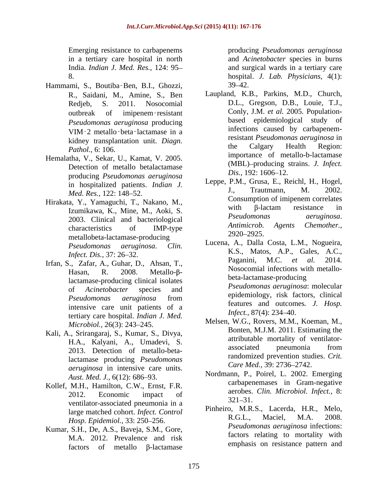Emerging resistance to carbapenems producing *Pseudomonas aeruginosa*

- Hammami, S., Boutiba-Ben, B.I., Ghozzi, 39-42. *Pseudomonas aeruginosa* producing *Pathol.,* 6: 106.
- Hemalatha, V., Sekar, U., Kamat, V. 2005. Detection of metallo betalactamase  $Dis. 192: 1606-12.$ producing *Pseudomonas aeruginosa*
- metallobeta-lactamase-producing 2920–2925.
- lactamase-producing clinical isolates intensive care unit patients of a<br>terms and outcom<br> $Infect, 87(4): 234-40.$ tertiary care hospital. *Indian J. Med. Microbiol.,* 26(3): 243-245.
- Kali, A., Srirangaraj, S., Kumar, S., Divya, lactamase producing *Pseudomonas aeruginosa* in intensive care units. *Aust. Med. J., 6(12): 686–93.*
- Kollef, M.H., Hamilton, C.W., Ernst, F.R. ventilator-associated pneumonia in a  $321-31$ . *Hosp. Epidemiol.,* 33: 250-256.
- Kumar, S.H., De, A.S., Baveja, S.M., Gore, M.A. 2012. Prevalence and risk factors of metallo  $\beta$ -lactamase

in a tertiary care hospital in north and *Acinetobacter* species in burns India. *Indian J. Med. Res.,* 124: 95 and surgical wards in a tertiary care 8. hospital. *J. Lab. Physicians,* 4(1):  $39 - 42.$ 

- R., Saidani, M., Amine, S., Ben Laupland, K.B., Parkins, M.D., Church, Redjeb, S. 2011. Nosocomial D.L., Gregson, D.B., Louie, T.J., outbreak of imipenem-resistant Conly, J.M. *et al.* 2005. Population-VIM 2 metallo beta lactamase in a kidney transplantation unit. *Diagn*.<br> **Existent Foundation Calgary** Health Region: Conly, J.M. *et al.* 2005. Population based epidemiological study of infections caused by carbapenemresistant *Pseudomonas aeruginosa* in the Calgary Health Region: importance of metallo-b-lactamase (MBL) producing strains. *J. Infect. Dis.,* 192: 1606–12.
- in hospitalized patients. *Indian J.* Leppe, P.M., Grusa, E., Reichi, H., Hogel, M. *L. P. (a)* 149, 52 *Med. Res.,* 122: 148–52. Hirakata, Y., Yamaguchi, T., Nakano, M.,<br>
Hirakata, Y., Yamaguchi, T., Nakano, M.,<br>
With B-lactam resistance in Izumikawa, K., Mine, M., Aoki, S. With p-lactam resistance in  $Pseudomonas$  deruginosa. 2003. Clinical and bacteriological *Pseudomonas deruginosa.*<br>Antimicrob. Agents Chemother., characteristics of IMP-type *Anumicrov*. Agents Chemother., Leppe, P.M., Grusa, E., Reichl, H., Hogel, J., Trautmann, M. 2002. Consumption of imipenem correlates with  $\beta$ -lactam resistance in *Pseudomonas aeruginosa*. *Antimicrob. Agents Chemother.,* 2920 2925.
- *Pseudomonas aeruginosa*. *Clin.*  Lucena, A., Dalla Costa, L.M., Nogueira, *Infect. Dis.,* 37: 26–32. Irfan, S., Zafar, A., Guhar, D., Ahsan, T., Paganini, M.C. et al. 2014. Hasan, R.  $2008$ . Metallo- $\beta$ -  $\beta$ - Nosoconnal intections with inetalloof *Acinetobacter* species and *Pseudomonas aeruginosa* from K.S., Matos, A.P., Gales, A.C., Paganini, M.C. Nosocomial infections with metallo beta-lactamase-producing *Pseudomonas aeruginosa*: molecular epidemiology, risk factors, clinical features and outcomes*. J. Hosp. Infect.,* 87(4): 234–40.
	- H.A., Kalyani, A., Umadevi, S. 2013. Detection of metallo-beta-Melsen, W.G., Rovers, M.M., Koeman, M., Bonten, M.J.M. 2011. Estimating the attributable mortality of ventilator associated pneumonia from randomized prevention studies. *Crit. Care Med., 39: 2736-2742.*
	- 2012. Economic impact of  $\frac{a}{2}$  are  $\frac{a}{2}$  cun. Microbiol. Inject., o. Nordmann, P., Poirel, L. 2002. Emerging carbapenemases in Gram-negative aerobes. *Clin. Microbiol. Infect.,* 8:  $321 - 31.$
	- large matched cohort. *Infect. Control* Pinneiro, M.R.S., Lacerda, H.R., Meio, <br>R.G.L., Maciel, M.A. 2008. Pinheiro, M.R.S., Lacerda, H.R., Melo, R.G.L., Maciel, M.A. 2008. *Pseudomonas aeruginosa* infections: factors relating to mortality with emphasis on resistance pattern and